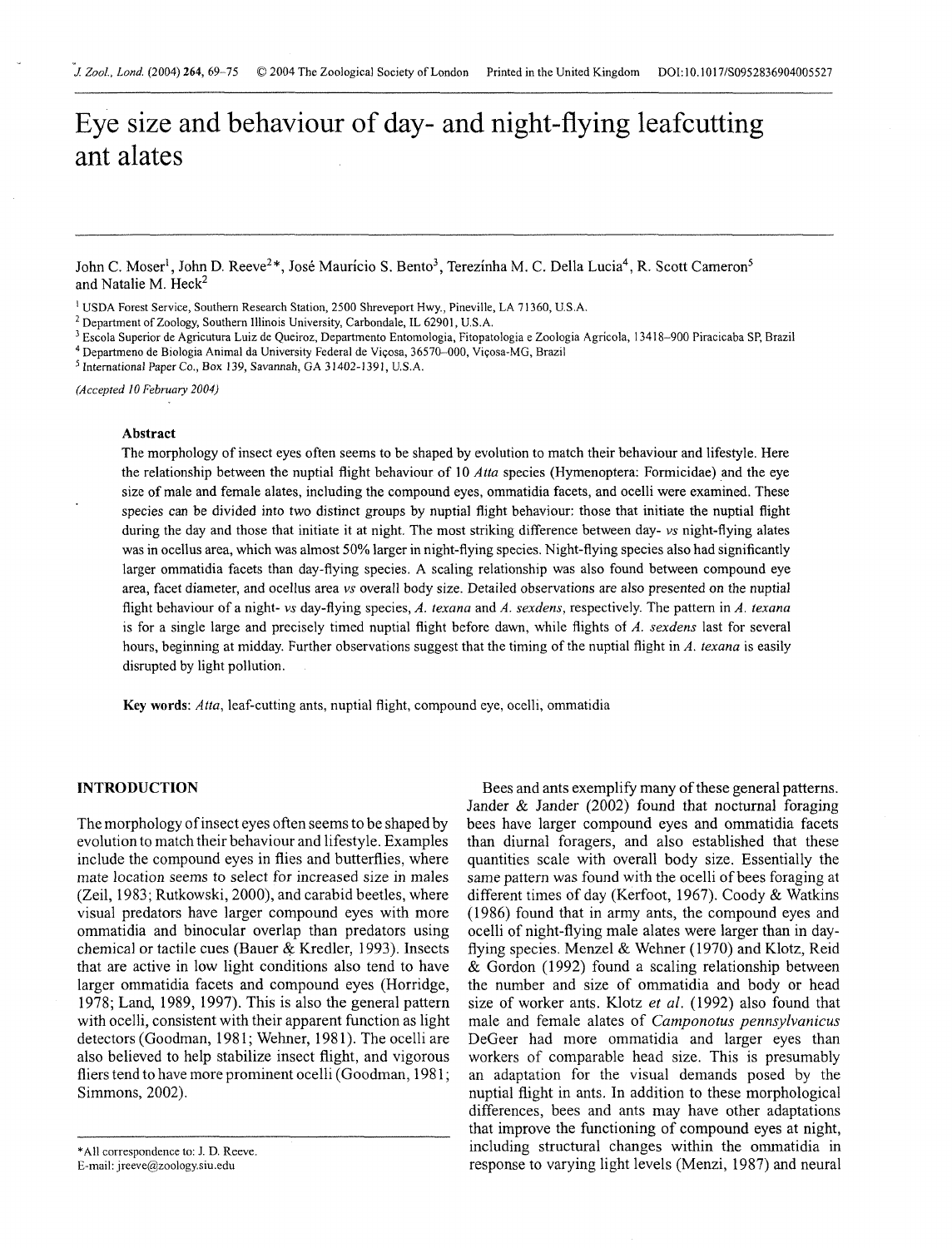# Eye size and behaviour of day- and night-flying leafcutting ant alates

John C. Moser<sup>1</sup>, John D. Reeve<sup>2\*</sup>, José Maurício S. Bento<sup>3</sup>, Terezínha M. C. Della Lucia<sup>4</sup>, R. Scott Cameron<sup>5</sup> and Natalie M.  $Heck<sup>2</sup>$ 

<sup>1</sup> USDA Forest Service, Southern Research Station, 2500 Shreveport Hwy., Pineville, LA 71360, U.S.A.

<sup>2</sup> Department of Zoology, Southern Illinois University, Carbondale, IL 62901, U.S.A.

<sup>3</sup> Escola Superior de Agricutura Luiz de Queiroz, Departmento Entomologia, Fitopatologia e Zoologia Agrícola, 13418-900 Piracicaba SP, Brazil

Departmeno de Biologia Animal da University Federal de Viqosa, 36570-000, Viqosa-MG, Brazil

<sup>5</sup> International Paper Co., Box 139, Savannah, GA 31402-1391, U.S.A.

*(Accepted* 10 *February 2004)* 

### Abstract

The morphology of insect eyes often seems to be shaped by evolution to match their behaviour and lifestyle. Here the relationship between the nuptial flight behaviour of 10 *Atta* species (Hymenoptera: Fonnicidae) and the eye size of male and female alates, including the compound eyes, ommatidia facets, and ocelli were examined. These species can be divided into two distinct groups by nuptial flight behaviour: those that initiate the nuptial flight during the day and those that initiate it at night. The most striking difference between day- *vs* night-flying alates was in ocellus area, which was almost 50% larger in night-flying species. Night-flying species also had significantly larger ommatidia facets than day-flying species. **A** scaling relationship was also found between compound eye area, facet diameter, and ocellus area *vs* overall body size. Detailed observations are also presented on the nuptial flight behaviour of a night- *vs* day-flying species, *A. texana* and *A. sexdens,* respectively. The pattern in *A. texana*  is for a single large and precisely timed nuptial flight before dawn, while flights of *A. sexdens* last for several hours, beginning at midday. Further observations suggest that the timing of the nuptial flight in *A. texana* is easily disrupted by light pollution.

**Key** words: *Afta,* leaf-cutting ants, nuptial flight, compound eye, ocelli, ommatidia

# **INTRODUCTION**

The morphology of insect eyes often seems to be shaped by evolution to match their behaviour and lifestyle. Examples include the compound eyes in flies and butterflies, where mate location seems to select for increased size in males (Zeil, 1983; Rutkowski, 2000), and carabid beetles, where visual predators have larger compound eyes with more ommatidia and binocular overlap than predators using chemical or tactile cues (Bauer & Kredler, 1993). Insects that are active in low light conditions also tend to have larger ommatidia facets and compound eyes (Horridge, 1978; Land, 1989, 1997). This is also the general pattern with ocelli, consistent with their apparent function as light detectors (Goodman, 1981; Wehner, 1981). The ocelli are also believed to help stabilize insect flight, and vigorous fliers tend to have more prominent ocelli (Goodman, 1981; Simmons, 2002).

Bees and ants exemplify many of these general patterns. Jander & Jander (2002) found that nocturnal foraging bees have larger compound eyes and ommatidia facets than diurnal foragers, and also established that these quantities scale with overall body size. Essentially the same pattern was found with the ocelli of bees foraging at different times of day (Kerfoot, 1967). Coody & Watkins (1986) found that in army ants, the compound eyes and ocelli of night-flying male alates were larger than in dayflying species. Menzel & Wehner (1970) and Klotz, Reid & Gordon (1992) found a scaling relationship between the number and size of ommatidia and body or head size of worker ants. Klotz *et* al. (1992) also found that male and female alates of *Camponotus pennsylvanicus*  DeGeer had more ommatidia and larger eyes than workers of comparable head size. This is presumably an adaptation for the visual demands posed by the nuptial flight in ants. In addition to these morphological differences, bees and ants may have other adaptations that improve the functioning of compound eyes at night, including structural changes within the omrnatidia in response to varying light levels (Menzi, 1987) and neural

<sup>\*</sup>All correspondence to: J. D. Reeve. E-mail: jreeve@zoology.siu.edu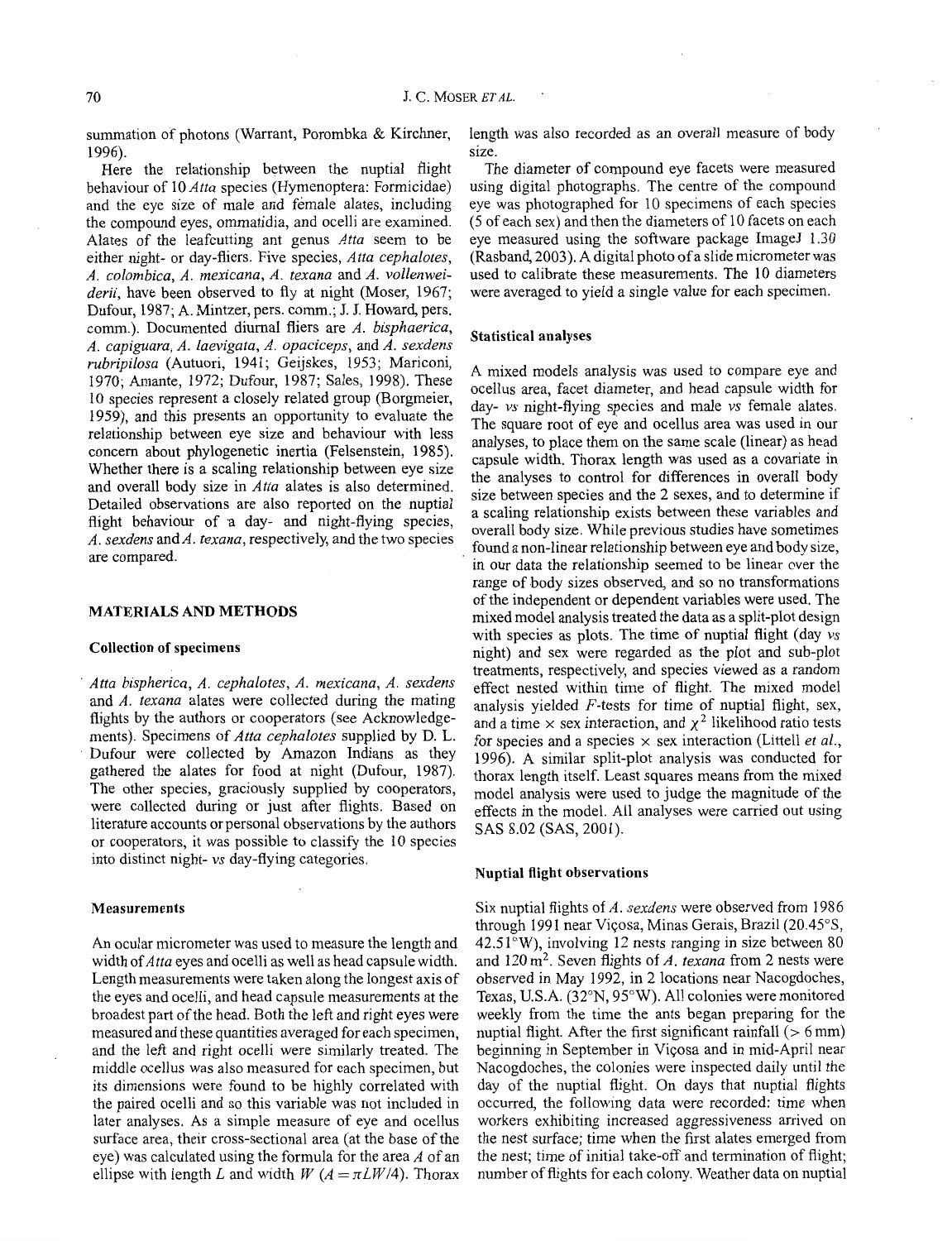summation of photons (Warrant, Porombka & Kirchner, 1996).

Here the relationship between the nuptial flight behaviour of 10 *Atta* species (Hymenoptera: Formicidae) and the eye size of male and female alates, including the compound eyes, ommatidia, and ocelli are examined. Alates of the leafcutting ant genus *Atta* seem to be either night- or day-fliers. Five species, *Atta cephalotes, A. colombica, A. mexicana, A. texana* and *A. vollenweiderii,* have been observed to fly at night (Moser, 1967; Dufour, 1987; A. Mintzer, pers. comm.; J. J. Howard, pers. cornm.). Documented diurnal fliers are *A. bisphaerica, A. capiguara, A. laevigata, A. opaciceps,* and *A. sexdens i-ubripilosa* (Autuori, 1941; Geijskes, 1953; Mariconi, 1970; Amante, 1972; Dufour, 1987; Sales, 1998). These 10 species represent a closely related group (Borgmeier, 1959), and this presents an opportunity to evaluate the relationship between eye size and behaviour with less concern about phylogenetic inertia (Felsenstein, 1985). Whether there is a scaling relationship between eye size and overall body size in *Atta* alates is also determined. Detailed observations are also reported on the nuptial flight behaviour of a day- and night-flying species, *A. sexdens* and *A. texana,* respectively, and the two species are compared.

### **MATERIALS AND METHODS**

### **Collection of specimens**

' *Atta bispherica, A. cephalotes, A. mexicana, A. sexdens*  and *A. texana* alates were collected during the mating flights by the authors or cooperators (see Acknowledgements). Specimens of *Atta cephalotes* supplied by D. L. Dufour were collected by Amazon Indians as they gathered the alates for food at night (Dufour, 1987). The other species, graciously supplied by cooperators, were collected during or just after flights. Based on literature accounts or personal observations by the authors or cooperators, it was possible to classify the 10 species into distinct night- *vs* day-flying categories. **Nuptial flight observations** 

### **Measurements**

An ocular micrometer was used to measure the length and width of *Atta* eyes and ocelli as well as head capsule width. Length measurements were taken along the longest axis of the eyes and ocelli, and head capsule measurements at the broadest part of the head. Both the left and right eyes were measured and these quantities averaged for each specimen, and the left and right ocelli were similarly treated. The middle ocellus was also measured for each specimen, but its dimensions were found to be highly correlated with the paired ocelli and so this variable was not included in later analyses. As a simple measure of eye and ocellus surface area, their cross-sectional area (at the base of the eye) was calculated using the formula for the area *A* of an ellipse with length L and width W  $(A = \pi L W/4)$ . Thorax

length was also recorded as an overall measure of body size.

The diameter of compound eye facets were measured using digital photographs. The centre of the compound eye was photographed for 10 specimens of each species (5 of each sex) and then the diameters of 10 facets on each eye measured using the software package ImageJ 1.30 (Rasband, 2003). A digital photo of a slide micrometer was used to calibrate these measurements. The 10 diameters were averaged to yield a single value for each specimen.

### **Statistical analyses**

A mixed models analysis was used to compare eye and ocellus area, facet diameter, and head capsule width for day- *vs* night-flying species and male *vs* female alates. The square root of eye and ocellus area was used in our analyses, to place them on the same scale (linear) as head capsule width. Thorax length was used as a covariate in the analyses to control for differences in overall body size between species and the 2 sexes, and to determine if a scaling relationship exists between these variables and overall body size. While previous studies have sometimes found a non-linear relationship between eye and body size, in our data the relationship seemed to be linear over the range of body sizes observed, and so no transformations of the independent or dependent variables were used. The mixed model analysis treated the data as a split-plot design with species as plots. The time of nuptial flight (day *vs*  night) and sex were regarded as the plot and sub-plot treatments, respectively, and species viewed as a random effect nested within time of flight. The mixed model analysis yielded F-tests for time of nuptial flight, sex, and a time  $\times$  sex interaction, and  $\chi^2$  likelihood ratio tests for species and a species  $\times$  sex interaction (Littell *et al.*, 1996). *A* similar split-plot analysis was conducted for thorax length itself. Least squares means from the mixed model analysis were used to judge the magnitude of the effects in the model. All analyses were carried out using SAS 8.02 (SAS, 2001).

Six nuptial flights of *A. sexdens* were observed from 1986 through 1991 near Viçosa, Minas Gerais, Brazil (20.45°S,  $42.51^{\circ}$ W), involving 12 nests ranging in size between 80 and 120 m2. Seven flights of *A. texana* from *2* nests were observed in May 1992, in 2 locations near Nacogdoches, Texas, U.S.A. (32"N, 95"W). All colonies were monitored weekly from the time the ants began preparing for the nuptial flight. After the first significant rainfall  $($  > 6 mm) beginning in September in Viqosa and in mid-April near Nacogdoches, the colonies were inspected daily until the day of the nuptial flight. On days that nuptial flights occurred, the following data were recorded: time when workers exhibiting increased aggressiveness arrived on the nest surface; time when the first alates emerged from the nest; time of initial take-off and termination of flight; number of flights for each colony. Weather data on nuptial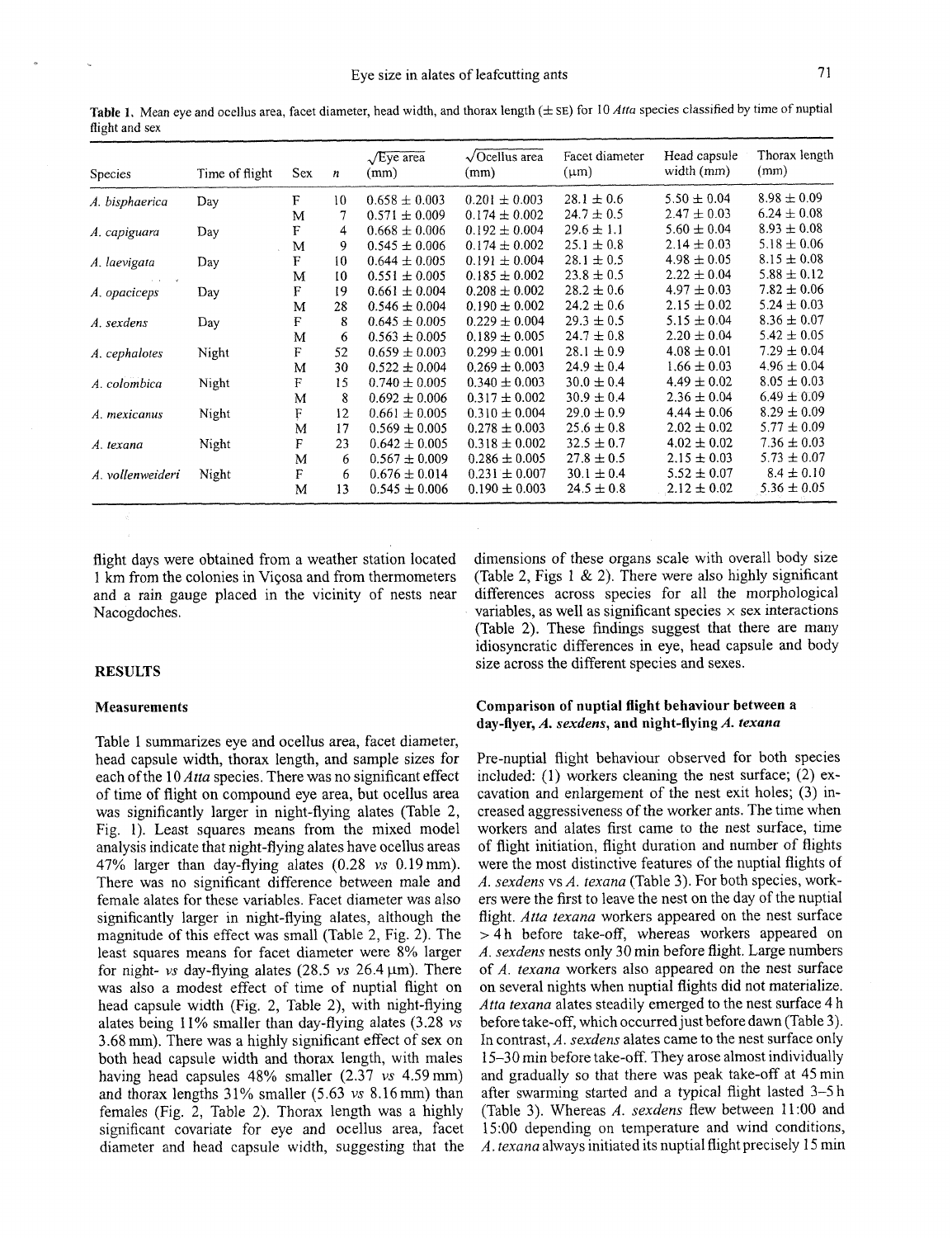Table 1. Mean eye and ocellus area, facet diameter, head width, and thorax length ( $\pm$  SE) for 10 *Atta* species classified by time of nuptial flight and sex

| <b>Species</b>   | Time of flight | Sex | n  | $\sqrt{E}$ ye area<br>(mm) | $\sqrt{$ Ocellus area<br>(mm) | Facet diameter<br>$(\mu m)$ | Head capsule<br>width (mm) | Thorax length<br>(mm) |
|------------------|----------------|-----|----|----------------------------|-------------------------------|-----------------------------|----------------------------|-----------------------|
| A. bisphaerica   | Day            | F   | 10 | $0.658 \pm 0.003$          | $0.201 \pm 0.003$             | $28.1 \pm 0.6$              | $5.50 \pm 0.04$            | $8.98 \pm 0.09$       |
|                  |                | M   | 7  | $0.571 \pm 0.009$          | $0.174 \pm 0.002$             | $24.7 \pm 0.5$              | $2.47 \pm 0.03$            | $6.24 \pm 0.08$       |
| A. capiguara     | Day            | F   | 4  | $0.668 \pm 0.006$          | $0.192 \pm 0.004$             | $29.6 \pm 1.1$              | $5.60 \pm 0.04$            | $8.93 \pm 0.08$       |
|                  |                | M   | 9  | $0.545 \pm 0.006$          | $0.174 \pm 0.002$             | $25.1 \pm 0.8$              | $2.14 \pm 0.03$            | $5.18 \pm 0.06$       |
| A. laevigata     | Day            | F   | 10 | $0.644 \pm 0.005$          | $0.191 \pm 0.004$             | $28.1 \pm 0.5$              | $4.98 \pm 0.05$            | $8.15 \pm 0.08$       |
|                  |                | M   | 10 | $0.551 \pm 0.005$          | $0.185 \pm 0.002$             | $23.8 \pm 0.5$              | $2.22 \pm 0.04$            | $5.88 \pm 0.12$       |
| A. opaciceps     | Day            | F   | 19 | $0.661 \pm 0.004$          | $0.208 \pm 0.002$             | $28.2 \pm 0.6$              | $4.97 \pm 0.03$            | $7.82 \pm 0.06$       |
|                  |                | M   | 28 | $0.546 \pm 0.004$          | $0.190 \pm 0.002$             | $24.2 \pm 0.6$              | $2.15 \pm 0.02$            | $5.24 \pm 0.03$       |
| A. sexdens       | Day            | F   | 8  | $0.645 \pm 0.005$          | $0.229 \pm 0.004$             | $29.3 \pm 0.5$              | $5.15 \pm 0.04$            | $8.36 \pm 0.07$       |
|                  |                | М   | 6  | $0.563 \pm 0.005$          | $0.189 \pm 0.005$             | $24.7 \pm 0.8$              | $2.20 \pm 0.04$            | $5.42 \pm 0.05$       |
| A. cephalotes    | Night          | F   | 52 | $0.659 \pm 0.003$          | $0.299 \pm 0.001$             | $28.1 \pm 0.9$              | $4.08 \pm 0.01$            | $7.29 \pm 0.04$       |
|                  |                | M   | 30 | $0.522 \pm 0.004$          | $0.269 \pm 0.003$             | $24.9 \pm 0.4$              | $1.66 \pm 0.03$            | $4.96 \pm 0.04$       |
| A. colombica     | Night          | F   | 15 | $0.740 \pm 0.005$          | $0.340 \pm 0.003$             | $30.0 \pm 0.4$              | $4.49 \pm 0.02$            | $8.05 \pm 0.03$       |
|                  |                | M   | 8  | $0.692 \pm 0.006$          | $0.317 \pm 0.002$             | $30.9 \pm 0.4$              | $2.36 \pm 0.04$            | $6.49 \pm 0.09$       |
| A. mexicanus     | Night          | F   | 12 | $0.661 \pm 0.005$          | $0.310 \pm 0.004$             | $29.0 \pm 0.9$              | $4.44 \pm 0.06$            | $8.29 \pm 0.09$       |
|                  |                | M   | 17 | $0.569 \pm 0.005$          | $0.278 \pm 0.003$             | $25.6 \pm 0.8$              | $2.02 \pm 0.02$            | $5.77 \pm 0.09$       |
| A. texana        | Night          | F   | 23 | $0.642 \pm 0.005$          | $0.318 \pm 0.002$             | $32.5 \pm 0.7$              | $4.02 \pm 0.02$            | $7.36 \pm 0.03$       |
|                  |                | M   | 6  | $0.567 \pm 0.009$          | $0.286 \pm 0.005$             | $27.8 \pm 0.5$              | $2.15 \pm 0.03$            | $5.73 \pm 0.07$       |
| A. vollenweideri | Night          | F   | 6  | $0.676 \pm 0.014$          | $0.231 \pm 0.007$             | $30.1 \pm 0.4$              | $5.52 \pm 0.07$            | $8.4 \pm 0.10$        |
|                  |                | м   | 13 | $0.545 \pm 0.006$          | $0.190 \pm 0.003$             | $24.5 \pm 0.8$              | $2.12 \pm 0.02$            | $5.36 \pm 0.05$       |

1 km from the colonies in Viçosa and from thermometers (Table 2, Figs 1 & 2). There were also highly significant and a rain gauge placed in the vicinity of nests near differences across species for all the morphological and a rain gauge placed in the vicinity of nests near Nacogdoches.  $\blacksquare$  variables, as well as significant species  $\times$  sex interactions

### **Measurements**

Table 1 summarizes eye and ocellus area, facet diameter, head capsule width, thorax length, and sample sizes for each ofthe 10 *Atta* species. There was no significant effect of time of flight on compound eye area, but ocellus area was significantly larger in night-flying alates (Table 2, Fig. 1). Least squares means from the mixed model analysis indicate that night-flying alates have ocellus areas 47% larger than day-flying alates (0.28 *vs* 0.19mm). There was no significant difference between male and female alates for these variables. Facet diameter was also significantly larger in night-flying alates, although the magnitude of this effect was small (Table 2, Fig. 2). The least squares means for facet diameter were 8% larger for night- *vs* day-flying alates (28.5 *vs*  $26.4 \,\mu m$ ). There was also a modest effect of time of nuptial flight on head capsule width (Fig. 2, Table 2), with night-flying alates being 11% smaller than day-flying alates (3.28 *vs*  3.68 mm). There was a highly significant effect of sex on both head capsule width and thorax length, with males having head capsules 48% smaller (2.37 *vs* 4.59mm) and thorax lengths  $31\%$  smaller  $(5.63 \text{ vs } 8.16 \text{ mm})$  than females (Fig. 2, Table 2). Thorax length was a highly significant covariate for eye and ocellus area, facet diameter and head capsule width, suggesting that the

flight days were obtained from a weather station located dimensions of these organs scale with overall body size (Table 2). These findings suggest that there are many idiosyncratic differences in eye, head capsule and body **RESULTS** size across the different species and sexes.

### **Comparison of nuptial flight behaviour between a day-flyer, A.** *sexdens,* **and night-flying** *A. texana*

Pre-nuptial flight behaviour observed for both species included: (1) workers cleaning the nest surface; (2) excavation and enlargement of the nest exit holes; (3) increased aggressiveness of the worker ants. The time when workers and alates first came to the nest surface, time of flight initiation, flight duration and number of flights were the most distinctive features of the nuptial flights of *A. sexdens* vs *A. texana* (Table *3).* For both species, workers were the first to leave the nest on the day of the nuptial flight. *Atta texana* workers appeared on the nest surface > 4 h before take-off, whereas workers appeared on *A. sexdens* nests only 30 min before flight. Large numbers of *A. texana* workers also appeared on the nest surface on several nights when nuptial flights did not materialize. *Atta texana* alates steadily emerged to the nest surface 4 h before take-off, which occurred just before dawn (Table 3). in contrast, *A. sexdens* alates came to the nest surface only 15-30 min before take-off. They arose almost individually and gradually so that there was peak take-off at 45 min after swarming started and a typical flight lasted 3-5 h (Table 3). Whereas *A. sexdens* flew between 11:OO and 15:00 depending on temperature and wind conditions, *A. texana* always initiated its nuptial flight precisely 15 min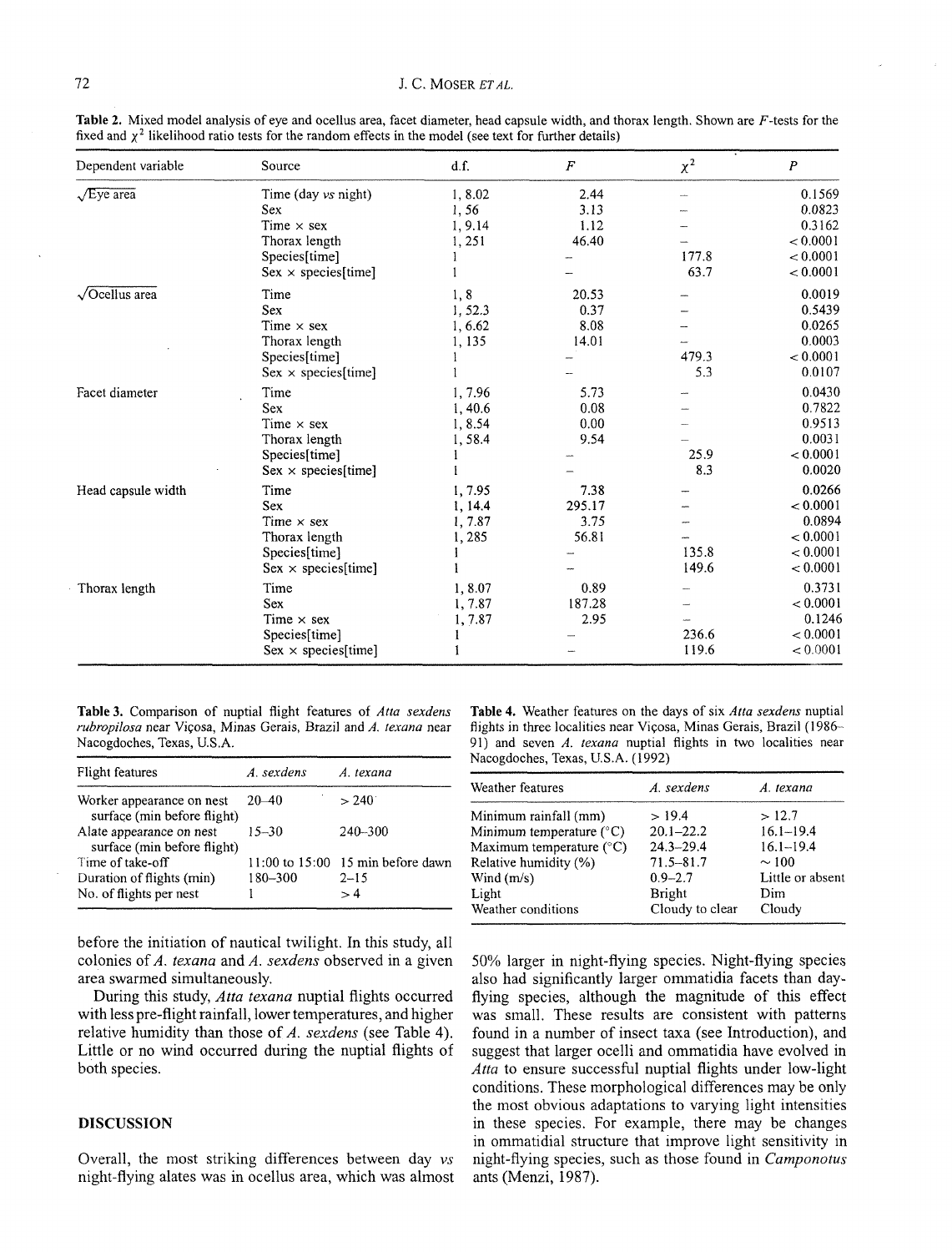| Dependent variable    | Source                     | d.f.    | $\boldsymbol{F}$ | $\chi^2$ | $\boldsymbol{P}$ |
|-----------------------|----------------------------|---------|------------------|----------|------------------|
| $\sqrt{E}$ ye area    | Time (day vs night)        | 1,8.02  | 2.44             |          | 0.1569           |
|                       | Sex                        | 1,56    | 3.13             |          | 0.0823           |
|                       | Time $\times$ sex          | 1, 9.14 | 1.12             |          | 0.3162           |
|                       | Thorax length              | 1,251   | 46.40            |          | < 0.0001         |
|                       | Species[time]              |         |                  | 177.8    | < 0.0001         |
|                       | $Sex \times species[time]$ |         |                  | 63.7     | < 0.0001         |
| $\sqrt{$ Ocellus area | Time                       | 1,8     | 20.53            |          | 0.0019           |
|                       | <b>Sex</b>                 | 1,52.3  | 0.37             |          | 0.5439           |
|                       | Time $\times$ sex          | 1,6.62  | 8.08             |          | 0.0265           |
|                       | Thorax length              | 1,135   | 14.01            |          | 0.0003           |
|                       | Species[time]              |         |                  | 479.3    | < 0.0001         |
|                       | $Sex \times species[time]$ |         |                  | 5.3      | 0.0107           |
| Facet diameter        | Time                       | 1,7.96  | 5.73             |          | 0.0430           |
|                       | Sex                        | 1,40.6  | 0.08             |          | 0.7822           |
|                       | Time $\times$ sex          | 1,8.54  | 0.00             |          | 0.9513           |
|                       | Thorax length              | 1,58.4  | 9.54             |          | 0.0031           |
|                       | Species[time]              |         |                  | 25.9     | < 0.0001         |
|                       | $Sex \times species[time]$ |         |                  | 8.3      | 0.0020           |
| Head capsule width    | Time                       | 1,7.95  | 7.38             |          | 0.0266           |
|                       | <b>Sex</b>                 | 1, 14.4 | 295.17           |          | < 0.0001         |
|                       | Time $\times$ sex          | 1,7.87  | 3.75             |          | 0.0894           |
|                       | Thorax length              | 1,285   | 56.81            |          | < 0.0001         |
|                       | Species[time]              |         |                  | 135.8    | < 0.0001         |
|                       | $Sex \times species[time]$ |         |                  | 149.6    | < 0.0001         |
| Thorax length         | Time                       | 1,8.07  | 0.89             |          | 0.3731           |
|                       | Sex                        | 1,7.87  | 187.28           |          | < 0.0001         |
|                       | Time $\times$ sex          | 1, 7.87 | 2.95             |          | 0.1246           |
|                       | Species[time]              |         |                  | 236.6    | < 0.0001         |
|                       | $Sex \times species[time]$ |         |                  | 119.6    | < 0.0001         |

**Table 2.** Mixed model analysis of eye and ocelius area, facet diameter, head capsule width, and thorax length. Shown are F-tests for the fixed and **x2** likelihood ratio tests for the random effects in the model (see text for further details)

**Table 3.** Comparison of nuptial flight features of *Atta sexdens rubropilosa* near Viqosa, Minas Gerais, Brazil and *A. texana* near Nacogdoches, Texas, U.S.A.

| Flight features                                          | A. sexdens | A. texana                         |
|----------------------------------------------------------|------------|-----------------------------------|
| Worker appearance on nest<br>surface (min before flight) | $20 - 40$  | $> 240^\circ$                     |
| Alate appearance on nest<br>surface (min before flight)  | $15 - 30$  | 240-300                           |
| Time of take-off                                         |            | 11:00 to 15:00 15 min before dawn |
| Duration of flights (min)                                | 180-300    | $2 - 15$                          |
| No. of flights per nest                                  |            | >4                                |

**Table 4.** Weather features on the days of six *Atta sexdens* nuptial flights in three localities near Viçosa, Minas Gerais, Brazil (1986-91) and seven *A. texana* nuptial flights in two localities near Nacogdoches, Texas, U.S.A. (1992)

| Weather features                  | A. sexdens      | A. texana        |
|-----------------------------------|-----------------|------------------|
| Minimum rainfall (mm)             | >19.4           | >12.7            |
| Minimum temperature $(^{\circ}C)$ | $20.1 - 22.2$   | $16.1 - 19.4$    |
| Maximum temperature $(^{\circ}C)$ | $24.3 - 29.4$   | $16.1 - 19.4$    |
| Relative humidity (%)             | $71.5 - 81.7$   | $\sim$ 100       |
| Wind $(m/s)$                      | $0.9 - 2.7$     | Little or absent |
| Light                             | Bright          | Dim              |
| Weather conditions                | Cloudy to clear | Cloudy           |

50% larger in night-flying species. Night-flying species

before the initiation of nautical twilight. In this study, all colonies of *A. texana* and *A. sexdens* observed in a given area swarmed simultaneously.

During this study, *Atta texana* nuptial flights occurred with less pre-flight rainfall, lower temperatures, and higher relative humidity than those of *A. sexdens* (see Table *4).*  Little or no wind occurred during the nuptial flights of both species.

## **DISCUSSION**

Overall, the most striking differences between day *vs*  night-flying alates was in ocellus area, which was almost also had significantly larger omrnatidia facets than dayflying species, although the magnitude of this effect was small. These results are consistent with patterns found in a number of insect taxa (see Introduction), and suggest that larger ocelli and omrnatidia have evolved in *Atta* to ensure successful nuptial flights under low-light conditions. These morphological differences may be only the most obvious adaptations to varying light intensities in these species. For example, there may be changes in ommatidial structure that improve light sensitivity in night-flying species, such as those found in *Camponotus* 

ants (Menzi, *1987).*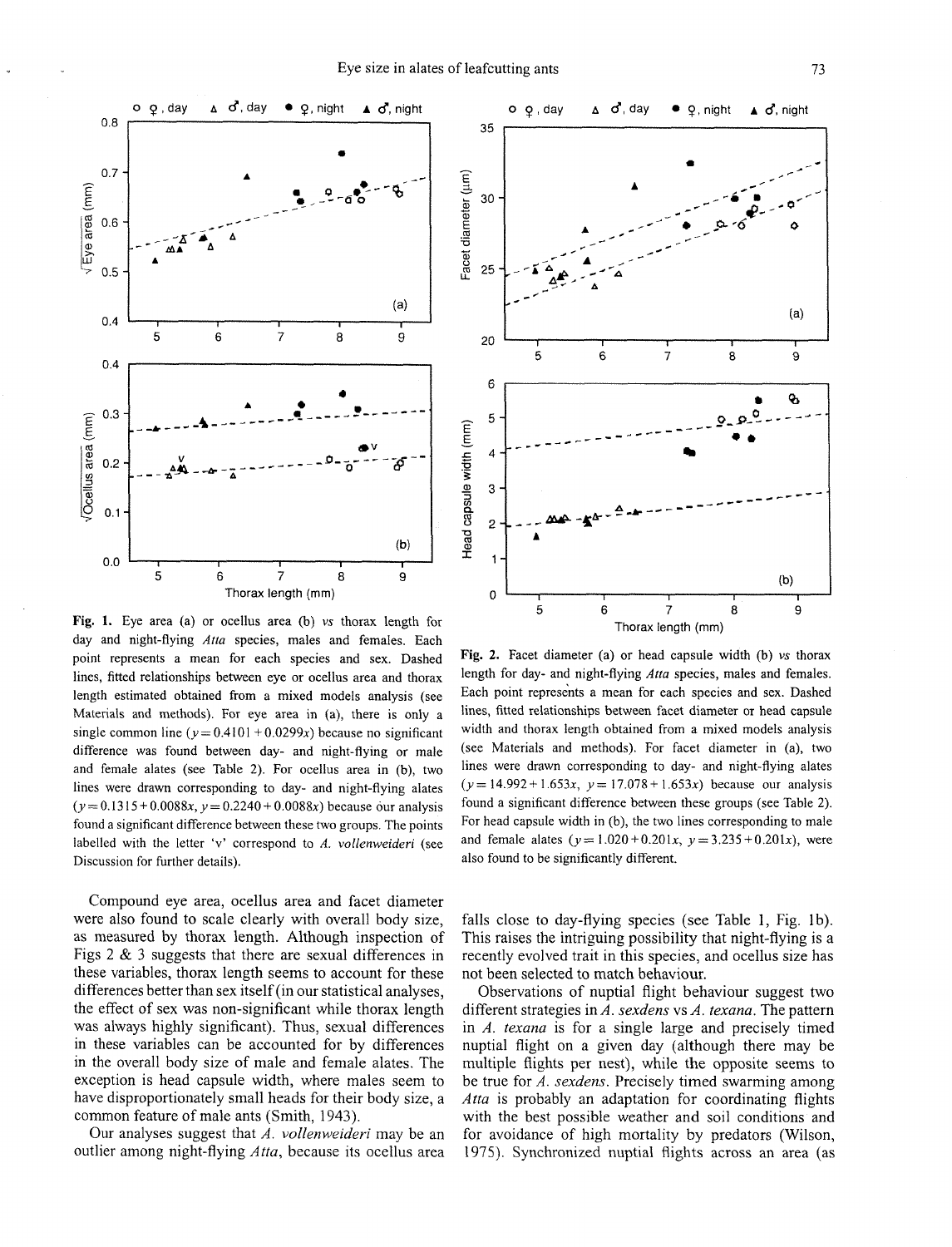

35 Facet diameter (um) 30 25  $(a)$ 20  $\overline{5}$  $\ddot{\mathbf{6}}$  $\frac{1}{7}$  $\overset{.}{8}$  $\overline{9}$ 6 ę, 5 Head capsule width (mm)  $\overline{4}$ 3  $\overline{2}$ 1  $(b)$  $\mathbf 0$ 5 6 7 8 9 Thorax length (mm)

**Fig.** 1. Eye area (a) or ocellus area (b) **vs** thorax length for day and night-flying *Atta* species, males and females. Each point represents a mean for each species and sex. Dashed lines, fitted relationships between eye or ocellus area and thorax length estimated obtained from a mixed models analysis (see Materials and methods). For eye area in (a), there is only a single common line ( $v = 0.4101 + 0.0299x$ ) because no significant difference was found between day- and night-flying or male and female alates (see Table 2). For ocellus area in (b), two lines were drawn corresponding to day- and night-flying alates  $(y = 0.1315 + 0.0088x, y = 0.2240 + 0.0088x)$  because our analysis found a significant difference between these two groups. The points labelled with the letter 'v' correspond to **A. vollenweideri** (see Discussion for further details).

Compound eye area, ocellus area and facet diameter were also found to scale clearly with overall body size, as measured by thorax length. Although inspection of Figs 2 & **3** suggests that there are sexual differences in these variables, thorax length seems to account for these differences better than sex itself (in our statistical analyses, the effect of sex was non-significant while thorax length was always highly significant). Thus, sexual differences in these variables can be accounted for by differences in the overall body size of male and female alates. The exception is head capsule width, where males seem to have disproportionately small heads for their body size, a common feature of male ants (Smith, 1943).

Our analyses suggest that *A. vollenweideri* may be an outlier among night-flying *Atta,* because its ocellus area

**Fig. 2.** Facet diameter (a) or head capsule width (b) **vs** thorax length for day- and night-flying *Atta* species, males and females. Each point represents a mean for each species and sex. Dashed lines, fitted relationships between facet diameter or head capsule width and thorax length obtained from a mixed models analysis (see Materials and methods). For facet diameter in (a), two lines were drawn corresponding to day- and night-flying alates  $(y = 14.992 + 1.653x, y = 17.078 + 1.653x)$  because our analysis found a significant difference between these groups (see Table 2). For head capsule width in (b), the two lines corresponding to male and female alates  $(y=1.020+0.201x, y=3.235+0.201x)$ , were also found to be significantly different.

falls close to day-flying species (see Table 1, Fig. lb). This raises the intriguing possibility that night-flying is a recently evolved trait in this species, and ocellus size has not been selected to match behaviour.

Observations of nuptial flight behaviour suggest two different strategies in *A. sexdens* vs *A. texana.* The pattern in *A. texana* is for a single large and precisely timed nuptial flight on a given day (although there may be multiple flights per nest), while the opposite seems to be true for *A. sexdens.* Precisely timed swarming among *Atta* is probably an adaptation for coordinating flights with the best possible weather and soil conditions and for avoidance of high mortality by predators (Wilson, 1975). Synchronized nuptial flights across an area (as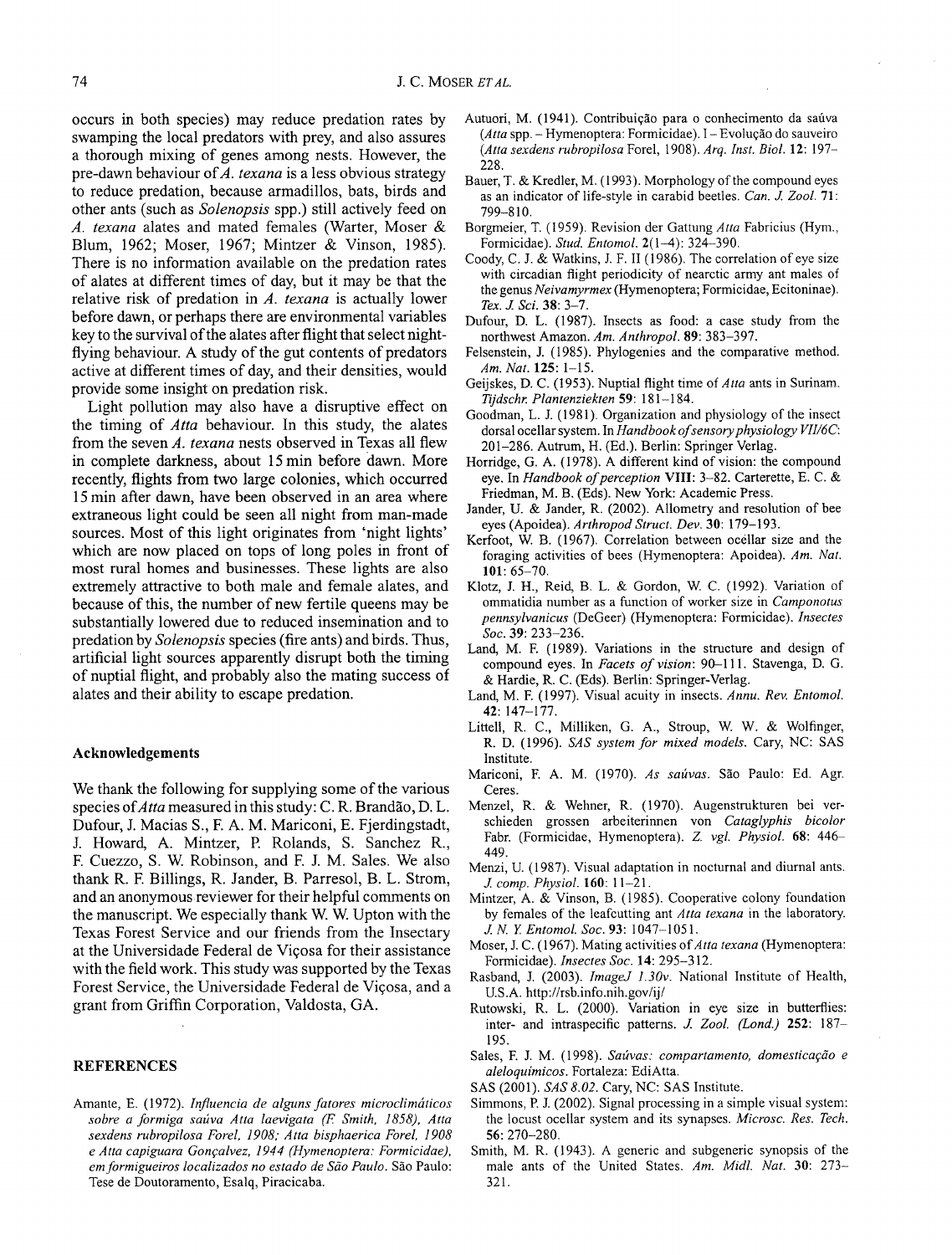occurs in both species) may reduce predation rates by swamping the local predators with prey, and also assures a thorough mixing of genes among nests. However, the pre-dawn behaviour of  $A$ . texana is a less obvious strategy to reduce predation, because armadillos, bats, birds and other ants (such as Solenopsis spp.) still actively feed on *A.* texana alates and mated females (Warter, Moser & Blum, 1962; Moser, 1967; Mintzer & Vinson, 1985). There is no information available on the predation rates of alates at different times of day, but it may be that the relative risk of predation in A. texana is actually lower before dawn, or perhaps there are environmental variables key to the survival of the alates after flight that select nightflying behaviour. A study of the gut contents of predators active at different times of day, and their densities, would provide some insight on predation risk.

Light pollution may also have a disruptive effect on the timing of Atta behaviour. In this study, the alates from the seven *A. texana* nests observed in Texas all flew in complete darkness, about 15 min before dawn. More recently, flights from two large colonies, which occurred 15 min after dawn, have been observed in an area where extraneous light could be seen all night from man-made sources. Most of this light originates from 'night lights' which are now placed on tops of long poles in front of most rural homes and businesses. These lights are also extremely attractive to both male and female alates, and because of this, the number of new fertile queens may be substantially lowered due to reduced insemination and to predation by Solenopsis species (fire ants) and birds. Thus, artificial light sources apparently disrupt both the timing of nuptial flight, and probably also the mating success of alates and their ability to escape predation.

### **Acknowledgements**

We thank the following for supplying some of the various species of *Atta* measured in this study: C. R. Brandão, D. L. Dufour, J. Macias S., F. A. M. Mariconi, E. Fjerdingstadt, J. Howard, A. Mintzer, **I?** Rolands, S. Sanchez R., F. Cuezzo, S. W. Robinson, and F. J. M. Sales. We also thank R. F. Billings, R. Jander, B. Parresol, B. L. Strom, and an anonymous reviewer for their helpful comments on the manuscript. We especially thank W. W. Upton with the Texas Forest Service and our friends from the Insectary at the Universidade Federal de Vicosa for their assistance with the field work. This study was supported by the Texas Forest Service, the Universidade Federal de Viqosa, and a grant from Griffin Corporation, Valdosta, GA.

### **REFERENCES**

Amante, E. (1972). *Influencia de alguns fatores microclimaticos sobre a formiga saliva Atta laevigata (F Smith, 1858). Atta sexdens rubropilosa Forel, 1908; Atta bisphaerica Forel, 1908*   $e$  Atta capiguara Gonçalvez, 1944 (Hymenoptera: Formicidae), em formigueiros localizados no estado de São Paulo. São Paulo: Tese de Doutoramento, Esalq, Piracicaba.

- Autuori, M. (1941). Contribuição para o conhecimento da saúva *(Atta spp. - Hymenoptera: Formicidae). I - Evolução do sauveiro (Atta sexdens rubropilosa* Forel, 1908). *Arq. Inst. Biol.* 12: 197- 228.
- Bauer, T. & Kredler, M. (1993). Morphology of the compound eyes as an indicator of life-style in carabid beetles. *Can.* **1** *Zool.* **71:**  799-8 10.
- Borgmeier, T. (1959). Revision der Gattung *Atta* Fabricius (Hym., Formicidae). *Stud. Entomol.* 2(1-4): 324-390.
- Coody, C. J. & Watkins, J. F. I1 (1986). The correlation of eye size with circadian flight periodicity of nearctic army ant males of the genus *Neivamyrmex* (Hymenoptera; Formicidae, Ecitoninae). *Tex.* .I *Sci.* 38: 3-7.
- Dufour, D. L. (1987). Insects as food: a case study from the northwest Amazon. *Am. Anthropol.* 89: 383-397.
- Felsenstein, J. (1985). Phylogenies and the comparative method. *Am. Nut.* 125: 1-15.
- Geijskes, D. C. (1953). Nuptial flight time of *Atta* ants in Surinam. *Ttjdschr: Plantenziekten* 59: 181-1 84.
- Goodman, L. J. (1981). Organization and physiology of the insect dorsal ocellar system. In *Handbook of sensory physiology VII/6C*: 201-286. Autrum, H. (Ed.). Berlin: Springer Verlag.
- Horridge, G. A. (1978). A different kind of vision: the compound eye. In *Handbook of perception VIII: 3-82. Carterette, E. C. &* Friedman, M. B. (Eds). New York: Academic Press.
- Jander, U. & Jander, R. (2002). Allometry and resolution of bee eyes (Apoidea). *Arthropod Struct. Dev.* 30: 179-193.
- Kerfoot, W. B. (1967). Correlation between ocellar size and the foraging activities of bees (Hymenoptera: Apoidea). *Am. Nat.*  101: 65-70.
- Klotz, J. H., Reid, B. L. & Gordon, W. C. (1992). Variation of ommatidia number as a function of worker size in *Camponotus pennsylvanicus* (DeGeer) (Hymenoptera: Formicidae). *Insectes Soc.* 39: 233-236.
- Land, M. F. (1989). Variations in the structure and design of compound eyes. In *Facets of vision:* 90-1 11. Stavenga, D. G. & Hardie, R. C. (Eds). Berlin: Springer-Verlag.
- Land, M. F. (1997). Visual acuity in insects. *Annu. Rev. Entomol.*  42: 147-177.
- Littell, R. C., Milliken, G. A., Stroup, W. W. & Wolfinger, R. D. (1996). *SAS system for mixed models.* Cary, NC: SAS Institute.
- Mariconi, F. A. M. (1970). As saúvas. São Paulo: Ed. Agr. Ceres.
- Menzel, R. & Wehner, R. (1970). Augenstrukturen bei verschieden grossen arbeiterinnen von *Cataglyphis bicolor*  Fabr. (Formicidae, Hymenoptera). *Z. vgl. Physiol.* 68: 446- 449.
- Menzi, U. (1987). Visual adaptation in nocturnal and diurnal ants. 1 *comp. Physiol.* 160: 1 1-2 1.
- Mintzer, A. & Vinson, B. (1985). Cooperative colony foundation by females of the leafcutting ant *Atta texana* in the laboratory. **1** *N* **E** *Entomol. Soc.* 93: 1047-1 05 1.
- Moser, J. C. (1967). Mating activities of *Atta texana* (Hymenoptera: Formicidae). *Insectes Soc.* 14: 295-3 12.
- Rasband, J. (2003). *ImageJ 1.30~.* National Institute of Health, U.S.A. http://rsb.info.nih.gov/ij/
- Rutowski, R. L. (2000). Variation in eye size in butterflies: inter- and intraspecific patterns. *J: Zool. (Lond.)* 252: 187- 195.
- Sales, F. J. M. (1998). *Saúvas: compartamento, domesticação e aleloquimicos.* Fortaleza: EdiAtta.
- SAS (2001). *SAS 8.02.* Cary, NC: SAS Institute.
- Simmons, P. J. (2002). Signal processing in a simple visual system: the locust ocellar system and its synapses. *Microsc. Res. Tech.*  56: 270-280.
- Smith, M. R. (1943). A generic and subgeneric synopsis of the male ants of the United States. *Am. Midl. Nut.* 30: 273- 321.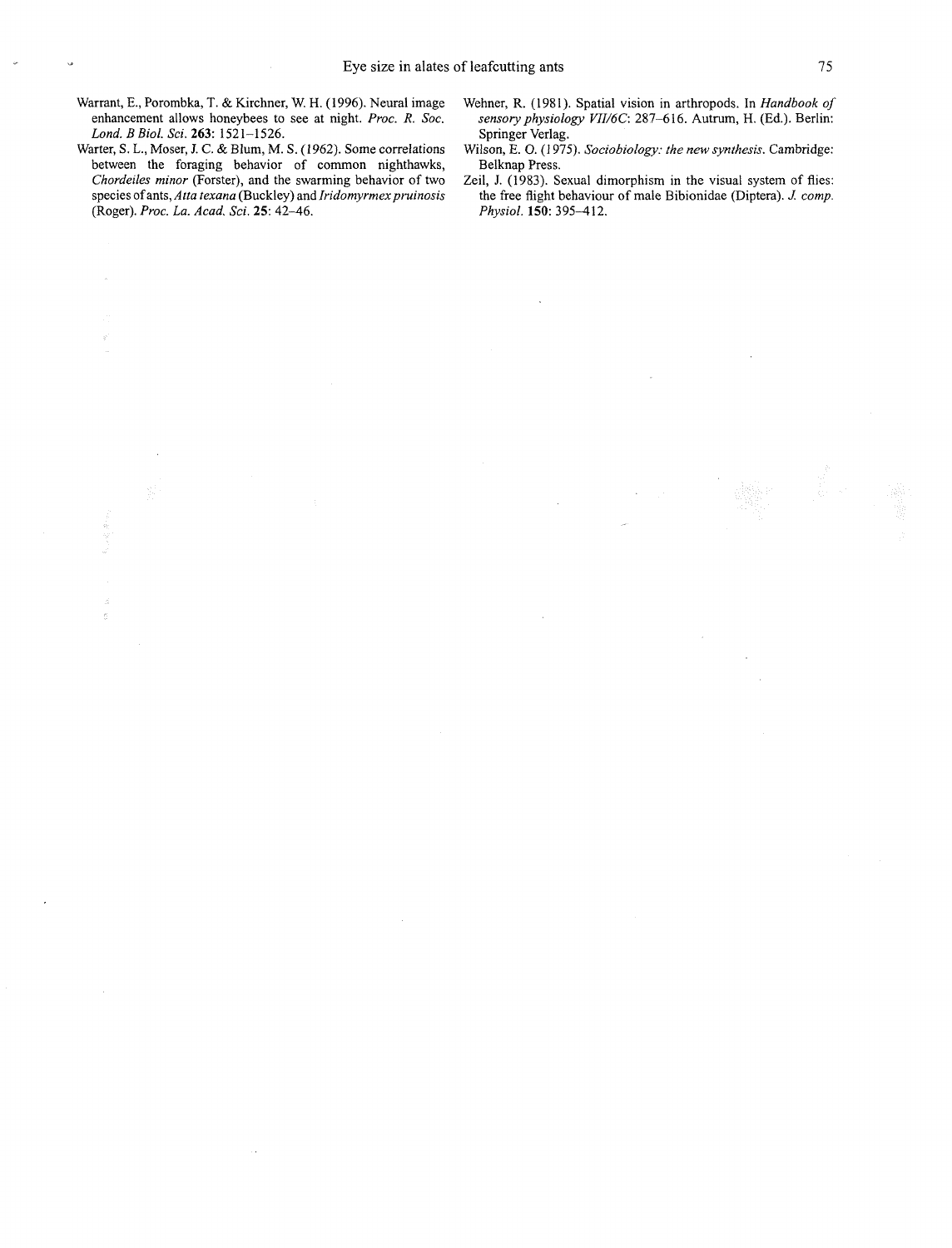- Warrant, E., Porombka, T. & Kirchner, W. H. (1996). Neural image enhancement allows honeybees to see at night. *Proc.* R. *Soc. Lond. B Biol. Sci.* 263: 152 1-1526.
- Warter, S. L., Moser, J. C. & Blum, M. S. (1962). Some correlations between the foraging behavior of common nighthawks, *Chordeiles minor* (Forster), and the swarming behavior of two species of ants, *Atta texana* (Buckley) and *Iridomyrmex pruinosis* (Roger). *Proc. La. Acad. Sci.* 25: 42-46.
- Wehner, R. (1981). Spatial vision in arthropods. In *Handbook of sensory physiology VII/6C:* 287-616. Autrum, H. (Ed.). Berlin: Springer Verlag.
- Wilson, E. **0.** (1 975). *Sociobiology: the* new *synthesis.* Cambridge: Beiknap Press.
- Zeil, J. (1983). Sexual dimorphism in the visual system of flies: the free flight behaviour of male Bibionidae (Diptera). *J: comp. Physiol.* 150: 395-412.